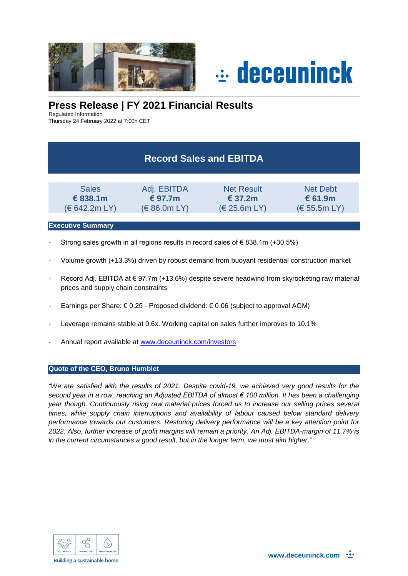



# **Press Release | FY 2021 Financial Results**

Regulated Information

Thursday 24 February 2022 at 7:00h CET

# **Record Sales and EBITDA**

| <b>Sales</b>           | Adj. EBITDA           | <b>Net Result</b> | Net Debt     |
|------------------------|-----------------------|-------------------|--------------|
| € 838.1m               | € 97.7 $m$            | € 37.2 $m$        | € 61.9m      |
| $(\epsilon$ 642.2m LY) | $(\epsilon$ 86.0m LY) | (E 25.6m LY)      | (E 55.5m LY) |

### **Executive Summary**

- Strong sales growth in all regions results in record sales of  $\epsilon$  838.1m (+30.5%)
- Volume growth (+13.3%) driven by robust demand from buoyant residential construction market
- Record Adj. EBITDA at €97.7m (+13.6%) despite severe headwind from skyrocketing raw material prices and supply chain constraints
- Earnings per Share: € 0.25 Proposed dividend: € 0.06 (subject to approval AGM)
- Leverage remains stable at 0.6x. Working capital on sales further improves to 10.1%
- Annual report available at [www.deceuninck.com/investors](http://www.deceuninck.com/investors)

### **Quote of the CEO, Bruno Humblet**

*"We are satisfied with the results of 2021. Despite covid-19, we achieved very good results for the second year in a row, reaching an Adjusted EBITDA of almost € 100 million. It has been a challenging year though. Continuously rising raw material prices forced us to increase our selling prices several times, while supply chain interruptions and availability of labour caused below standard delivery performance towards our customers. Restoring delivery performance will be a key attention point for 2022. Also, further increase of profit margins will remain a priority. An Adj. EBITDA-margin of 11.7% is in the current circumstances a good result, but in the longer term, we must aim higher."*

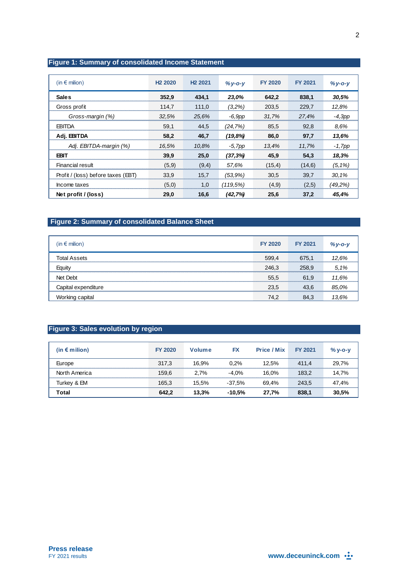## **Figure 1: Summary of consolidated Income Statement**

| (in $\epsilon$ milion)             | H <sub>2</sub> 2020 | H <sub>2</sub> 2021 | $%y-c-y$ | <b>FY 2020</b> | <b>FY 2021</b> | $%y - o - y$ |
|------------------------------------|---------------------|---------------------|----------|----------------|----------------|--------------|
| <b>Sales</b>                       | 352.9               | 434.1               | 23,0%    | 642,2          | 838,1          | 30,5%        |
| Gross profit                       | 114,7               | 111,0               | (3,2%)   | 203,5          | 229,7          | 12,8%        |
| Gross-margin (%)                   | 32.5%               | 25,6%               | -6,9pp   | 31,7%          | 27,4%          | $-4,3pp$     |
| <b>EBITDA</b>                      | 59,1                | 44,5                | (24,7%)  | 85,5           | 92,8           | 8.6%         |
| Adj. EBITDA                        | 58,2                | 46,7                | (19,8%)  | 86,0           | 97,7           | 13.6%        |
| Adj. EBITDA-margin (%)             | 16,5%               | 10.8%               | -5,7pp   | 13,4%          | 11.7%          | -1,7pp       |
| <b>EBIT</b>                        | 39.9                | 25.0                | (37,3%)  | 45,9           | 54.3           | 18,3%        |
| Financial result                   | (5.9)               | (9,4)               | 57.6%    | (15,4)         | (14,6)         | $(5.1\%)$    |
| Profit / (loss) before taxes (EBT) | 33.9                | 15.7                | (53.9%)  | 30.5           | 39.7           | 30.1%        |
| Income taxes                       | (5,0)               | 1,0                 | (119.5%) | (4,9)          | (2,5)          | (49.2%)      |
| Net profit / (loss)                | 29.0                | 16.6                | (42,7%)  | 25.6           | 37.2           | 45.4%        |

# **Figure 2: Summary of consolidated Balance Sheet**

| $(in \in \text{milion})$ | <b>FY 2020</b> | <b>FY 2021</b> |       |
|--------------------------|----------------|----------------|-------|
| <b>Total Assets</b>      | 599.4          | 675.1          | 12.6% |
| Equity                   | 246.3          | 258.9          | 5.1%  |
| Net Debt                 | 55,5           | 61,9           | 11.6% |
| Capital expenditure      | 23,5           | 43.6           | 85.0% |
| Working capital          | 74,2           | 84,3           | 13.6% |

# **Figure 3: Sales evolution by region**

| (in € milion) | <b>FY 2020</b> | Volume | FX       | <b>Price / Mix</b> | <b>FY 2021</b> | $\%$ V-O-V |
|---------------|----------------|--------|----------|--------------------|----------------|------------|
| Europe        | 317.3          | 16.9%  | 0.2%     | 12.5%              | 411.4          | 29.7%      |
| North America | 159.6          | 2.7%   | $-4.0\%$ | 16.0%              | 183.2          | 14.7%      |
| Turkey & EM   | 165.3          | 15.5%  | -37.5%   | 69.4%              | 243.5          | 47,4%      |
| Total         | 642.2          | 13.3%  | $-10.5%$ | 27.7%              | 838.1          | 30,5%      |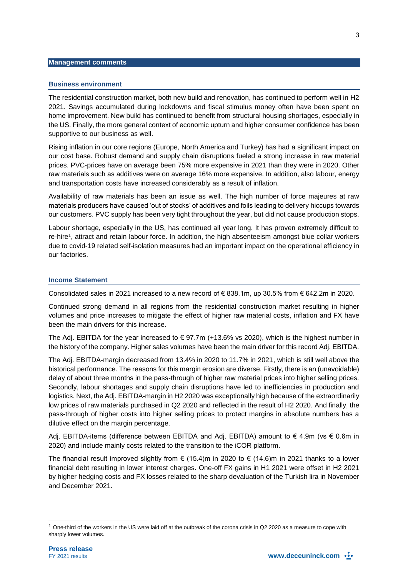#### **Management comments**

#### **Business environment**

The residential construction market, both new build and renovation, has continued to perform well in H2 2021. Savings accumulated during lockdowns and fiscal stimulus money often have been spent on home improvement. New build has continued to benefit from structural housing shortages, especially in the US. Finally, the more general context of economic upturn and higher consumer confidence has been supportive to our business as well.

Rising inflation in our core regions (Europe, North America and Turkey) has had a significant impact on our cost base. Robust demand and supply chain disruptions fueled a strong increase in raw material prices. PVC-prices have on average been 75% more expensive in 2021 than they were in 2020. Other raw materials such as additives were on average 16% more expensive. In addition, also labour, energy and transportation costs have increased considerably as a result of inflation.

Availability of raw materials has been an issue as well. The high number of force majeures at raw materials producers have caused 'out of stocks' of additives and foils leading to delivery hiccups towards our customers. PVC supply has been very tight throughout the year, but did not cause production stops.

Labour shortage, especially in the US, has continued all year long. It has proven extremely difficult to re-hire<sup>1</sup> , attract and retain labour force. In addition, the high absenteeism amongst blue collar workers due to covid-19 related self-isolation measures had an important impact on the operational efficiency in our factories.

#### **Income Statement**

Consolidated sales in 2021 increased to a new record of € 838.1m, up 30.5% from € 642.2m in 2020.

Continued strong demand in all regions from the residential construction market resulting in higher volumes and price increases to mitigate the effect of higher raw material costs, inflation and FX have been the main drivers for this increase.

The Adj. EBITDA for the year increased to  $\epsilon$  97.7m (+13.6% vs 2020), which is the highest number in the history of the company. Higher sales volumes have been the main driver for this record Adj. EBITDA.

The Adj. EBITDA-margin decreased from 13.4% in 2020 to 11.7% in 2021, which is still well above the historical performance. The reasons for this margin erosion are diverse. Firstly, there is an (unavoidable) delay of about three months in the pass-through of higher raw material prices into higher selling prices. Secondly, labour shortages and supply chain disruptions have led to inefficiencies in production and logistics. Next, the Adj. EBITDA-margin in H2 2020 was exceptionally high because of the extraordinarily low prices of raw materials purchased in Q2 2020 and reflected in the result of H2 2020. And finally, the pass-through of higher costs into higher selling prices to protect margins in absolute numbers has a dilutive effect on the margin percentage.

Adj. EBITDA-items (difference between EBITDA and Adj. EBITDA) amount to  $\epsilon$  4.9m (vs  $\epsilon$  0.6m in 2020) and include mainly costs related to the transition to the iCOR platform.

The financial result improved slightly from  $\epsilon$  (15.4)m in 2020 to  $\epsilon$  (14.6)m in 2021 thanks to a lower financial debt resulting in lower interest charges. One-off FX gains in H1 2021 were offset in H2 2021 by higher hedging costs and FX losses related to the sharp devaluation of the Turkish lira in November and December 2021.

l

<sup>&</sup>lt;sup>1</sup> One-third of the workers in the US were laid off at the outbreak of the corona crisis in Q2 2020 as a measure to cope with sharply lower volumes.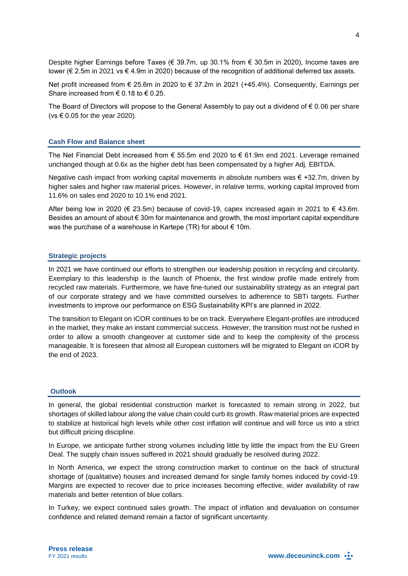Despite higher Earnings before Taxes (€ 39.7m, up 30.1% from € 30.5m in 2020), Income taxes are lower (€ 2.5m in 2021 vs € 4.9m in 2020) because of the recognition of additional deferred tax assets.

Net profit increased from € 25.6m in 2020 to € 37.2m in 2021 (+45.4%). Consequently, Earnings per Share increased from  $\epsilon$  0.18 to  $\epsilon$  0.25.

The Board of Directors will propose to the General Assembly to pay out a dividend of  $\epsilon$  0.06 per share (vs  $\in$  0.05 for the year 2020).

#### **Cash Flow and Balance sheet**

The Net Financial Debt increased from  $\epsilon$  55.5m end 2020 to  $\epsilon$  61.9m end 2021. Leverage remained unchanged though at 0.6x as the higher debt has been compensated by a higher Adj. EBITDA.

Negative cash impact from working capital movements in absolute numbers was € +32.7m, driven by higher sales and higher raw material prices. However, in relative terms, working capital improved from 11.6% on sales end 2020 to 10.1% end 2021.

After being low in 2020 (€ 23.5m) because of covid-19, capex increased again in 2021 to  $\in$  43.6m. Besides an amount of about € 30m for maintenance and growth, the most important capital expenditure was the purchase of a warehouse in Kartepe (TR) for about  $\epsilon$  10m.

#### **Strategic projects**

In 2021 we have continued our efforts to strengthen our leadership position in recycling and circularity. Exemplary to this leadership is the launch of Phoenix, the first window profile made entirely from recycled raw materials. Furthermore, we have fine-tuned our sustainability strategy as an integral part of our corporate strategy and we have committed ourselves to adherence to SBTi targets. Further investments to improve our performance on ESG Sustainability KPI's are planned in 2022.

The transition to Elegant on iCOR continues to be on track. Everywhere Elegant-profiles are introduced in the market, they make an instant commercial success. However, the transition must not be rushed in order to allow a smooth changeover at customer side and to keep the complexity of the process manageable. It is foreseen that almost all European customers will be migrated to Elegant on iCOR by the end of 2023.

#### **Outlook**

In general, the global residential construction market is forecasted to remain strong in 2022, but shortages of skilled labour along the value chain could curb its growth. Raw material prices are expected to stabilize at historical high levels while other cost inflation will continue and will force us into a strict but difficult pricing discipline.

In Europe, we anticipate further strong volumes including little by little the impact from the EU Green Deal. The supply chain issues suffered in 2021 should gradually be resolved during 2022.

In North America, we expect the strong construction market to continue on the back of structural shortage of (qualitative) houses and increased demand for single family homes induced by covid-19. Margins are expected to recover due to price increases becoming effective, wider availability of raw materials and better retention of blue collars.

In Turkey, we expect continued sales growth. The impact of inflation and devaluation on consumer confidence and related demand remain a factor of significant uncertainty.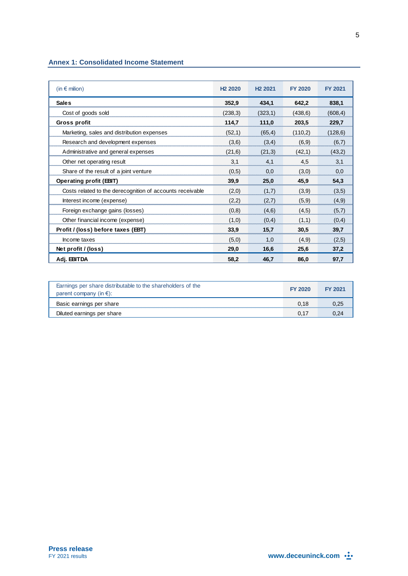### **Annex 1: Consolidated Income Statement**

| (in $\epsilon$ milion)                                    | H <sub>2</sub> 2020 | H <sub>2</sub> 2021 | <b>FY 2020</b> | <b>FY 2021</b> |
|-----------------------------------------------------------|---------------------|---------------------|----------------|----------------|
| <b>Sales</b>                                              | 352,9               | 434,1               | 642,2          | 838,1          |
| Cost of goods sold                                        | (238,3)             | (323,1)             | (438,6)        | (608, 4)       |
| Gross profit                                              | 114,7               | 111,0               | 203,5          | 229,7          |
| Marketing, sales and distribution expenses                | (52,1)              | (65, 4)             | (110,2)        | (128, 6)       |
| Research and development expenses                         | (3,6)               | (3,4)               | (6,9)          | (6,7)          |
| Administrative and general expenses                       | (21,6)              | (21,3)              | (42,1)         | (43,2)         |
| Other net operating result                                | 3,1                 | 4,1                 | 4,5            | 3,1            |
| Share of the result of a joint venture                    | (0,5)               | 0.0                 | (3,0)          | 0,0            |
| <b>Operating profit (EBIT)</b>                            | 39,9                | 25,0                | 45,9           | 54,3           |
| Costs related to the derecognition of accounts receivable | (2,0)               | (1,7)               | (3,9)          | (3,5)          |
| Interest income (expense)                                 | (2,2)               | (2,7)               | (5,9)          | (4,9)          |
| Foreign exchange gains (losses)                           | (0,8)               | (4,6)               | (4,5)          | (5,7)          |
| Other financial income (expense)                          | (1,0)               | (0,4)               | (1,1)          | (0,4)          |
| Profit / (loss) before taxes (EBT)                        | 33,9                | 15,7                | 30,5           | 39,7           |
| Income taxes                                              | (5,0)               | 1.0                 | (4,9)          | (2,5)          |
| Net profit / (loss)                                       | 29,0                | 16.6                | 25,6           | 37,2           |
| Adj. EBITDA                                               | 58,2                | 46.7                | 86,0           | 97,7           |

| Earnings per share distributable to the shareholders of the<br>parent company (in $\epsilon$ ): | FY 2020 | <b>FY 2021</b> |
|-------------------------------------------------------------------------------------------------|---------|----------------|
| Basic earnings per share                                                                        |         |                |
| Diluted earnings per share                                                                      |         |                |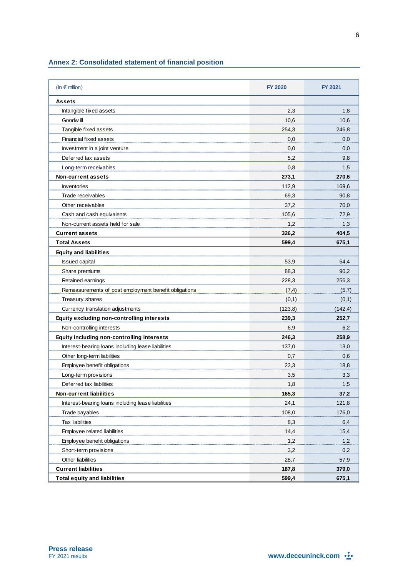## **Annex 2: Consolidated statement of financial position**

| (in $\epsilon$ milion)                                | <b>FY 2020</b> | FY 2021  |
|-------------------------------------------------------|----------------|----------|
| Assets                                                |                |          |
| Intangible fixed assets                               | 2,3            | 1,8      |
| Goodw ill                                             | 10,6           | 10,6     |
| Tangible fixed assets                                 | 254,3          | 246,8    |
| Financial fixed assets                                | 0,0            | 0,0      |
| Investment in a joint venture                         | 0,0            | 0,0      |
| Deferred tax assets                                   | 5,2            | 9,8      |
| Long-term receivables                                 | 0,8            | 1,5      |
| <b>Non-current assets</b>                             | 273,1          | 270,6    |
| <b>Inventories</b>                                    | 112,9          | 169,6    |
| Trade receivables                                     | 69,3           | 90,8     |
| Other receivables                                     | 37,2           | 70,0     |
| Cash and cash equivalents                             | 105,6          | 72,9     |
| Non-current assets held for sale                      | 1,2            | 1,3      |
| <b>Current assets</b>                                 | 326,2          | 404,5    |
| <b>Total Assets</b>                                   | 599,4          | 675,1    |
| <b>Equity and liabilities</b>                         |                |          |
| <b>Issued capital</b>                                 | 53,9           | 54,4     |
| Share premiums                                        | 88,3           | 90,2     |
| Retained earnings                                     | 228,3          | 256,3    |
| Remeasurements of post employment benefit obligations | (7, 4)         | (5,7)    |
| Treasury shares                                       | (0,1)          | (0,1)    |
| Currency translation adjustments                      | (123, 8)       | (142, 4) |
| Equity excluding non-controlling interests            | 239,3          | 252,7    |
| Non-controlling interests                             | 6,9            | 6,2      |
| Equity including non-controlling interests            | 246,3          | 258,9    |
| Interest-bearing loans including lease liabilities    | 137,0          | 13,0     |
| Other long-term liabilities                           | 0,7            | 0,6      |
| Employee benef it obligations                         | 22,3           | 18,8     |
| Long-term provisions                                  | 3,5            | 3,3      |
| Deferred tax liabilities                              | 1,8            | 1,5      |
| Non-current liabilities                               | 165,3          | 37,2     |
| Interest-bearing loans including lease liabilities    | 24,1           | 121,8    |
| Trade payables                                        | 108,0          | 176,0    |
| <b>Tax liabilities</b>                                | 8,3            | 6,4      |
| Employee related liabilities                          | 14,4           | 15,4     |
| Employee benefit obligations                          | 1,2            | 1,2      |
| Short-term provisions                                 | 3,2            | 0,2      |
| Other liabilities                                     | 28,7           | 57,9     |
| <b>Current liabilities</b>                            | 187,8          | 379,0    |
| <b>Total equity and liabilities</b>                   | 599,4          | 675,1    |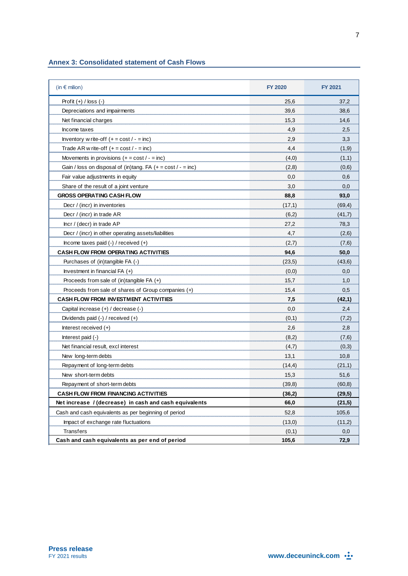### **Annex 3: Consolidated statement of Cash Flows**

| (in $\epsilon$ milion)                                         | <b>FY 2020</b> | <b>FY 2021</b> |
|----------------------------------------------------------------|----------------|----------------|
| Profit $(+)$ / loss $(-)$                                      | 25,6           | 37,2           |
| Depreciations and impairments                                  | 39,6           | 38,6           |
| Net financial charges                                          | 15,3           | 14,6           |
| Income taxes                                                   | 4,9            | 2,5            |
| Inventory w rite-off $(+ = \text{cost}/ - = \text{inc})$       | 2,9            | 3,3            |
| Trade AR w rite-off $(+ = cost / - = inc)$                     | 4,4            | (1, 9)         |
| Movements in provisions $(+ = cost / - = inc)$                 | (4,0)          | (1,1)          |
| Gain / loss on disposal of (in)tang. FA $(+ = cost / - = inc)$ | (2,8)          | (0,6)          |
| Fair value adjustments in equity                               | 0,0            | 0,6            |
| Share of the result of a joint venture                         | 3,0            | 0,0            |
| <b>GROSS OPERATING CASH FLOW</b>                               | 88,8           | 93,0           |
| Decr / (incr) in inventories                                   | (17,1)         | (69, 4)        |
| Decr / (incr) in trade AR                                      | (6,2)          | (41,7)         |
| Incr / (decr) in trade AP                                      | 27,2           | 78,3           |
| Decr / (incr) in other operating assets/liabilities            | 4,7            | (2,6)          |
| Income taxes paid $(-)$ / received $(+)$                       | (2,7)          | (7, 6)         |
| <b>CASH FLOW FROM OPERATING ACTIVITIES</b>                     | 94,6           | 50,0           |
| Purchases of (in)tangible FA (-)                               | (23,5)         | (43,6)         |
| Investment in financial $FA (+)$                               | (0,0)          | 0,0            |
| Proceeds from sale of $(in)$ tangible FA $(+)$                 | 15,7           | 1,0            |
| Proceeds from sale of shares of Group companies $(+)$          | 15,4           | 0,5            |
| <b>CASH FLOW FROM INVESTMENT ACTIVITIES</b>                    | 7,5            | (42,1)         |
| Capital increase (+) / decrease (-)                            | 0,0            | 2,4            |
| Dividends paid $(-)$ / received $(+)$                          | (0,1)          | (7,2)          |
| Interest received $(+)$                                        | 2,6            | 2,8            |
| Interest paid (-)                                              | (8,2)          | (7,6)          |
| Net financial result, excl interest                            | (4,7)          | (0,3)          |
| New long-term debts                                            | 13,1           | 10,8           |
| Repayment of long-term debts                                   | (14,4)         | (21,1)         |
| New short-term debts                                           | 15,3           | 51,6           |
| Repayment of short-term debts                                  | (39,8)         | (60, 8)        |
| <b>CASH FLOW FROM FINANCING ACTIVITIES</b>                     | (36,2)         | (29,5)         |
| Net increase / (decrease) in cash and cash equivalents         | 66,0           | (21,5)         |
| Cash and cash equivalents as per beginning of period           | 52,8           | 105,6          |
| Impact of exchange rate fluctuations                           | (13,0)         | (11,2)         |
| Transfers                                                      | (0,1)          | 0,0            |
| Cash and cash equivalents as per end of period                 | 105,6          | 72,9           |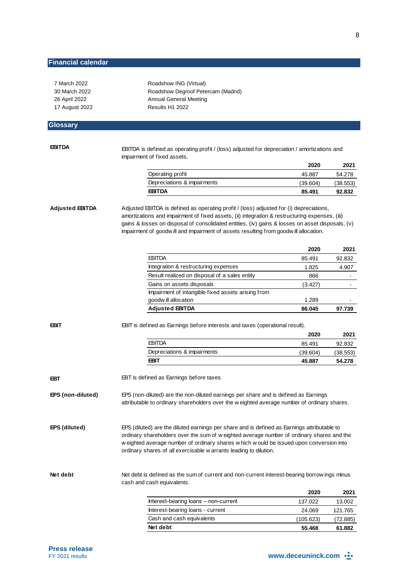| 7 March 2022           | Roadshow ING (Virtual)                                                                                                                                                                                                                                                                                                                                                                 |           |                   |
|------------------------|----------------------------------------------------------------------------------------------------------------------------------------------------------------------------------------------------------------------------------------------------------------------------------------------------------------------------------------------------------------------------------------|-----------|-------------------|
| 30 March 2022          | Roadshow Degroof Petercam (Madrid)                                                                                                                                                                                                                                                                                                                                                     |           |                   |
| 26 April 2022          | <b>Annual General Meeting</b>                                                                                                                                                                                                                                                                                                                                                          |           |                   |
| 17 August 2022         | Results H1 2022                                                                                                                                                                                                                                                                                                                                                                        |           |                   |
| <b>Glossary</b>        |                                                                                                                                                                                                                                                                                                                                                                                        |           |                   |
|                        |                                                                                                                                                                                                                                                                                                                                                                                        |           |                   |
|                        |                                                                                                                                                                                                                                                                                                                                                                                        |           |                   |
| <b>EBITDA</b>          | EBITDA is defined as operating profit / (loss) adjusted for depreciation / amortizations and                                                                                                                                                                                                                                                                                           |           |                   |
|                        | impairment of fixed assets.                                                                                                                                                                                                                                                                                                                                                            |           |                   |
|                        |                                                                                                                                                                                                                                                                                                                                                                                        | 2020      | 2021              |
|                        | Operating profit                                                                                                                                                                                                                                                                                                                                                                       | 45.887    | 54.278            |
|                        | Depreciations & impairments                                                                                                                                                                                                                                                                                                                                                            | (39.604)  | (38.553)          |
|                        | <b>EBITDA</b>                                                                                                                                                                                                                                                                                                                                                                          | 85.491    | 92.832            |
| <b>Adjusted EBITDA</b> | Adjusted EBITDA is defined as operating profit / (loss) adjusted for (i) depreciations,<br>amortizations and impairment of fixed assets, (ii) integration & restructuring expenses, (iii)<br>gains & losses on disposal of consolidated entities, (iv) gains & losses on asset disposals, (v)<br>impairment of goodw ill and impairment of assets resulting from goodw ill allocation. |           |                   |
|                        |                                                                                                                                                                                                                                                                                                                                                                                        | 2020      | 2021              |
|                        | <b>EBITDA</b>                                                                                                                                                                                                                                                                                                                                                                          | 85.491    | 92.832            |
|                        | Integration & restructuring expenses                                                                                                                                                                                                                                                                                                                                                   | 1.825     | 4.907             |
|                        | Result realized on disposal of a sales entity                                                                                                                                                                                                                                                                                                                                          | 866       |                   |
|                        | Gains on assets disposals                                                                                                                                                                                                                                                                                                                                                              | (3.427)   |                   |
|                        | Impairment of intangible fixed assets arising from                                                                                                                                                                                                                                                                                                                                     |           |                   |
|                        | goodw ill allocation                                                                                                                                                                                                                                                                                                                                                                   | 1.289     |                   |
|                        | <b>Adjusted EBITDA</b>                                                                                                                                                                                                                                                                                                                                                                 | 86.045    | 97.739            |
| <b>EBIT</b>            | EBIT is defined as Earnings before interests and taxes (operational result).                                                                                                                                                                                                                                                                                                           | 2020      | 2021              |
|                        | <b>EBITDA</b>                                                                                                                                                                                                                                                                                                                                                                          | 85.491    | 92.832            |
|                        | Depreciations & impairments                                                                                                                                                                                                                                                                                                                                                            | (39.604)  | (38.553)          |
|                        | <b>EBIT</b>                                                                                                                                                                                                                                                                                                                                                                            | 45.887    | 54.278            |
|                        |                                                                                                                                                                                                                                                                                                                                                                                        |           |                   |
| EBT                    | EBT is defined as Earnings before taxes.                                                                                                                                                                                                                                                                                                                                               |           |                   |
| EPS (non-diluted)      | EPS (non-diluted) are the non-diluted earnings per share and is defined as Earnings<br>attributable to ordinary shareholders over the w eighted average number of ordinary shares.                                                                                                                                                                                                     |           |                   |
| EPS (diluted)          | EPS (diluted) are the diluted earnings per share and is defined as Earnings attributable to<br>ordinary shareholders over the sum of w eighted average number of ordinary shares and the<br>w eighted average number of ordinary shares w hich w ould be issued upon conversion into<br>ordinary shares of all exercisable w arrants leading to dilution.                              |           |                   |
| Net debt               | Net debt is defined as the sum of current and non-current interest-bearing borrow ings minus<br>cash and cash equivalents.                                                                                                                                                                                                                                                             |           |                   |
|                        |                                                                                                                                                                                                                                                                                                                                                                                        | 2020      | 2021              |
|                        |                                                                                                                                                                                                                                                                                                                                                                                        |           |                   |
|                        | Interest-bearing loans - non-current                                                                                                                                                                                                                                                                                                                                                   | 137.022   |                   |
|                        | Interest-bearing loans - current                                                                                                                                                                                                                                                                                                                                                       | 24.069    | 13.002<br>121.765 |
|                        | Cash and cash equivalents                                                                                                                                                                                                                                                                                                                                                              | (105.623) | (72.885)          |